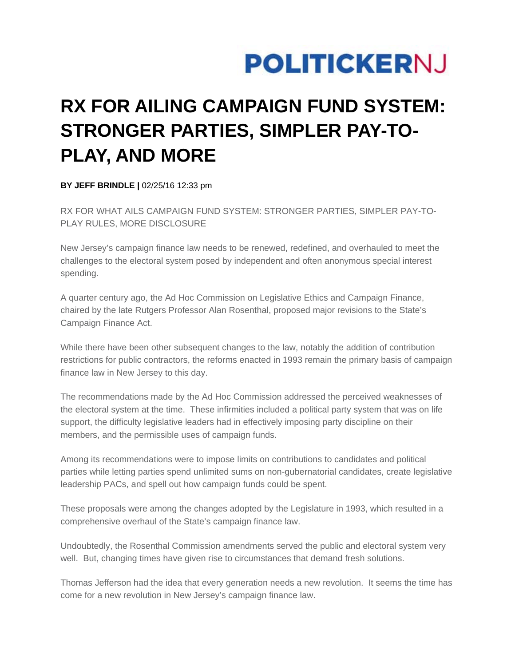## **POLITICKERNJ**

## **RX FOR AILING CAMPAIGN FUND SYSTEM: STRONGER PARTIES, SIMPLER PAY-TO-PLAY, AND MORE**

**BY JEFF BRINDLE |** 02/25/16 12:33 pm

RX FOR WHAT AILS CAMPAIGN FUND SYSTEM: STRONGER PARTIES, SIMPLER PAY-TO-PLAY RULES, MORE DISCLOSURE

New Jersey's campaign finance law needs to be renewed, redefined, and overhauled to meet the challenges to the electoral system posed by independent and often anonymous special interest spending.

A quarter century ago, the Ad Hoc Commission on Legislative Ethics and Campaign Finance, chaired by the late Rutgers Professor Alan Rosenthal, proposed major revisions to the State's Campaign Finance Act.

While there have been other subsequent changes to the law, notably the addition of contribution restrictions for public contractors, the reforms enacted in 1993 remain the primary basis of campaign finance law in New Jersey to this day.

The recommendations made by the Ad Hoc Commission addressed the perceived weaknesses of the electoral system at the time. These infirmities included a political party system that was on life support, the difficulty legislative leaders had in effectively imposing party discipline on their members, and the permissible uses of campaign funds.

Among its recommendations were to impose limits on contributions to candidates and political parties while letting parties spend unlimited sums on non-gubernatorial candidates, create legislative leadership PACs, and spell out how campaign funds could be spent.

These proposals were among the changes adopted by the Legislature in 1993, which resulted in a comprehensive overhaul of the State's campaign finance law.

Undoubtedly, the Rosenthal Commission amendments served the public and electoral system very well. But, changing times have given rise to circumstances that demand fresh solutions.

Thomas Jefferson had the idea that every generation needs a new revolution. It seems the time has come for a new revolution in New Jersey's campaign finance law.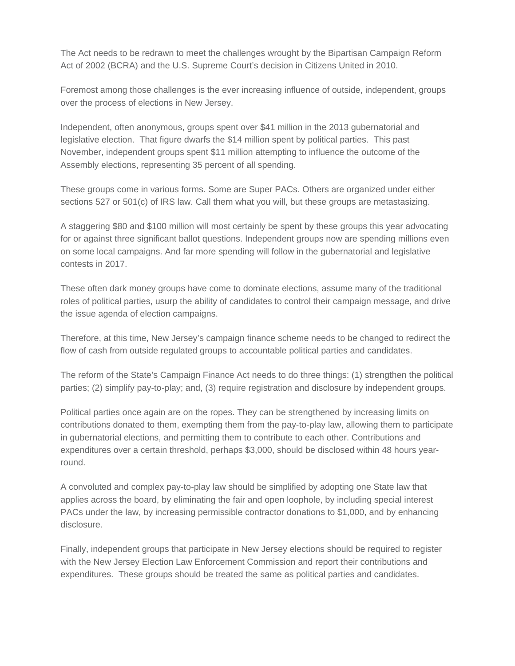The Act needs to be redrawn to meet the challenges wrought by the Bipartisan Campaign Reform Act of 2002 (BCRA) and the U.S. Supreme Court's decision in Citizens United in 2010.

Foremost among those challenges is the ever increasing influence of outside, independent, groups over the process of elections in New Jersey.

Independent, often anonymous, groups spent over \$41 million in the 2013 gubernatorial and legislative election. That figure dwarfs the \$14 million spent by political parties. This past November, independent groups spent \$11 million attempting to influence the outcome of the Assembly elections, representing 35 percent of all spending.

These groups come in various forms. Some are Super PACs. Others are organized under either sections 527 or 501(c) of IRS law. Call them what you will, but these groups are metastasizing.

A staggering \$80 and \$100 million will most certainly be spent by these groups this year advocating for or against three significant ballot questions. Independent groups now are spending millions even on some local campaigns. And far more spending will follow in the gubernatorial and legislative contests in 2017.

These often dark money groups have come to dominate elections, assume many of the traditional roles of political parties, usurp the ability of candidates to control their campaign message, and drive the issue agenda of election campaigns.

Therefore, at this time, New Jersey's campaign finance scheme needs to be changed to redirect the flow of cash from outside regulated groups to accountable political parties and candidates.

The reform of the State's Campaign Finance Act needs to do three things: (1) strengthen the political parties; (2) simplify pay-to-play; and, (3) require registration and disclosure by independent groups.

Political parties once again are on the ropes. They can be strengthened by increasing limits on contributions donated to them, exempting them from the pay-to-play law, allowing them to participate in gubernatorial elections, and permitting them to contribute to each other. Contributions and expenditures over a certain threshold, perhaps \$3,000, should be disclosed within 48 hours yearround.

A convoluted and complex pay-to-play law should be simplified by adopting one State law that applies across the board, by eliminating the fair and open loophole, by including special interest PACs under the law, by increasing permissible contractor donations to \$1,000, and by enhancing disclosure.

Finally, independent groups that participate in New Jersey elections should be required to register with the New Jersey Election Law Enforcement Commission and report their contributions and expenditures. These groups should be treated the same as political parties and candidates.